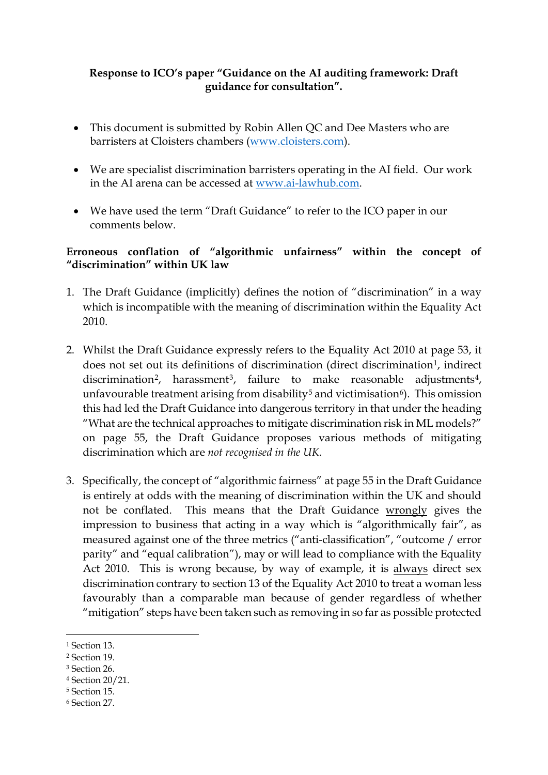## **Response to ICO's paper "Guidance on the AI auditing framework: Draft guidance for consultation".**

- This document is submitted by Robin Allen QC and Dee Masters who are barristers at Cloisters chambers (www.cloisters.com).
- We are specialist discrimination barristers operating in the AI field. Our work in the AI arena can be accessed at [www.ai-lawhub.com.](http://www.ai-lawhub.com/)
- We have used the term "Draft Guidance" to refer to the ICO paper in our comments below.

## **Erroneous conflation of "algorithmic unfairness" within the concept of "discrimination" within UK law**

- 1. The Draft Guidance (implicitly) defines the notion of "discrimination" in a way which is incompatible with the meaning of discrimination within the Equality Act 2010.
- 2. Whilst the Draft Guidance expressly refers to the Equality Act 2010 at page 53, it does not set out its definitions of discrimination (direct discrimination<sup>[1](#page-0-0)</sup>, indirect discrimination<sup>[2](#page-0-1)</sup>, harassment<sup>3</sup>, failure to make reasonable adjustments<sup>[4](#page-0-3)</sup>, unfavourable treatment arising from disability<sup>[5](#page-0-4)</sup> and victimisation<sup>[6](#page-0-5)</sup>). This omission this had led the Draft Guidance into dangerous territory in that under the heading "What are the technical approaches to mitigate discrimination risk in ML models?" on page 55, the Draft Guidance proposes various methods of mitigating discrimination which are *not recognised in the UK*.
- 3. Specifically, the concept of "algorithmic fairness" at page 55 in the Draft Guidance is entirely at odds with the meaning of discrimination within the UK and should not be conflated. This means that the Draft Guidance wrongly gives the impression to business that acting in a way which is "algorithmically fair", as measured against one of the three metrics ("anti-classification", "outcome / error parity" and "equal calibration"), may or will lead to compliance with the Equality Act 2010. This is wrong because, by way of example, it is always direct sex discrimination contrary to section 13 of the Equality Act 2010 to treat a woman less favourably than a comparable man because of gender regardless of whether "mitigation" steps have been taken such as removing in so far as possible protected

<span id="page-0-4"></span><sup>5</sup> Section 15.

<span id="page-0-0"></span><sup>1</sup> Section 13.

<span id="page-0-1"></span><sup>2</sup> Section 19.

<span id="page-0-2"></span><sup>3</sup> Section 26.

<span id="page-0-3"></span><sup>4</sup> Section 20/21.

<span id="page-0-5"></span><sup>6</sup> Section 27.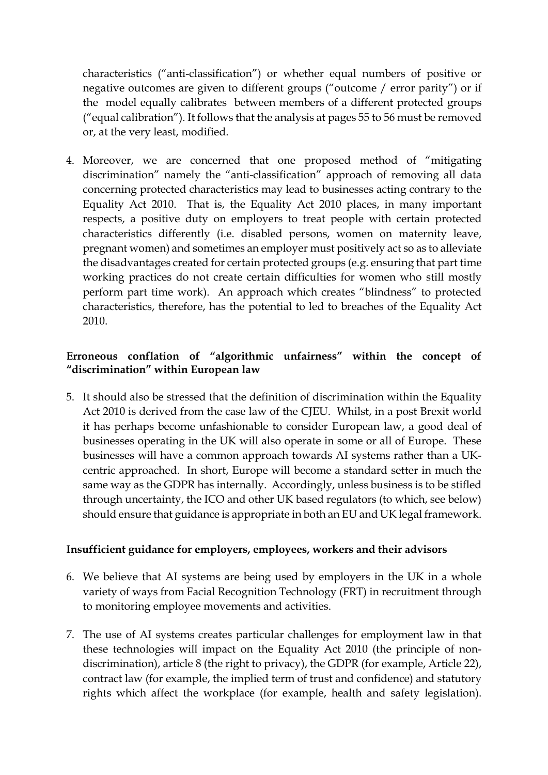characteristics ("anti-classification") or whether equal numbers of positive or negative outcomes are given to different groups ("outcome / error parity") or if the model equally calibrates between members of a different protected groups ("equal calibration"). It follows that the analysis at pages 55 to 56 must be removed or, at the very least, modified.

4. Moreover, we are concerned that one proposed method of "mitigating discrimination" namely the "anti-classification" approach of removing all data concerning protected characteristics may lead to businesses acting contrary to the Equality Act 2010. That is, the Equality Act 2010 places, in many important respects, a positive duty on employers to treat people with certain protected characteristics differently (i.e. disabled persons, women on maternity leave, pregnant women) and sometimes an employer must positively act so as to alleviate the disadvantages created for certain protected groups (e.g. ensuring that part time working practices do not create certain difficulties for women who still mostly perform part time work). An approach which creates "blindness" to protected characteristics, therefore, has the potential to led to breaches of the Equality Act 2010.

## **Erroneous conflation of "algorithmic unfairness" within the concept of "discrimination" within European law**

5. It should also be stressed that the definition of discrimination within the Equality Act 2010 is derived from the case law of the CJEU. Whilst, in a post Brexit world it has perhaps become unfashionable to consider European law, a good deal of businesses operating in the UK will also operate in some or all of Europe. These businesses will have a common approach towards AI systems rather than a UKcentric approached. In short, Europe will become a standard setter in much the same way as the GDPR has internally. Accordingly, unless business is to be stifled through uncertainty, the ICO and other UK based regulators (to which, see below) should ensure that guidance is appropriate in both an EU and UK legal framework.

## **Insufficient guidance for employers, employees, workers and their advisors**

- 6. We believe that AI systems are being used by employers in the UK in a whole variety of ways from Facial Recognition Technology (FRT) in recruitment through to monitoring employee movements and activities.
- 7. The use of AI systems creates particular challenges for employment law in that these technologies will impact on the Equality Act 2010 (the principle of nondiscrimination), article 8 (the right to privacy), the GDPR (for example, Article 22), contract law (for example, the implied term of trust and confidence) and statutory rights which affect the workplace (for example, health and safety legislation).